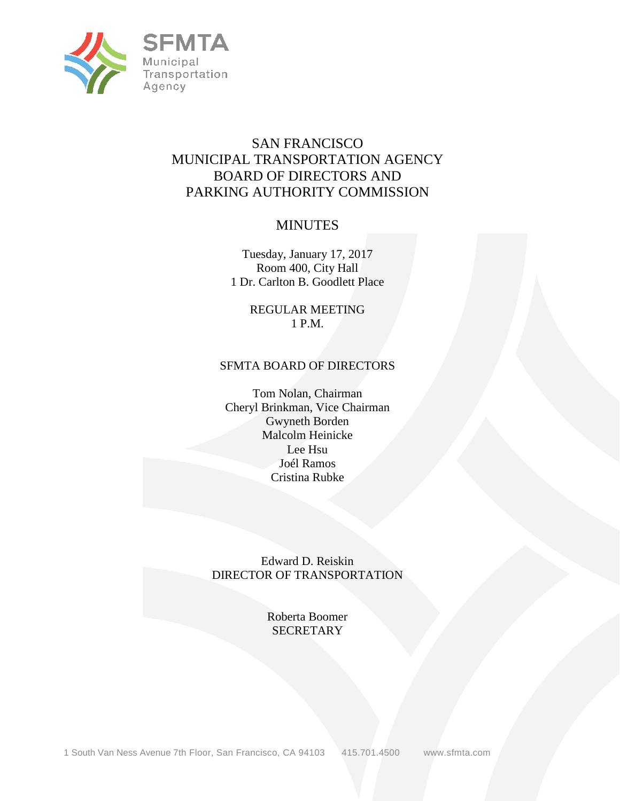

# SAN FRANCISCO MUNICIPAL TRANSPORTATION AGENCY BOARD OF DIRECTORS AND PARKING AUTHORITY COMMISSION

# MINUTES

Tuesday, January 17, 2017 Room 400, City Hall 1 Dr. Carlton B. Goodlett Place

> REGULAR MEETING 1 P.M.

## SFMTA BOARD OF DIRECTORS

Tom Nolan, Chairman Cheryl Brinkman, Vice Chairman Gwyneth Borden Malcolm Heinicke Lee Hsu Joél Ramos Cristina Rubke

Edward D. Reiskin DIRECTOR OF TRANSPORTATION

> Roberta Boomer **SECRETARY**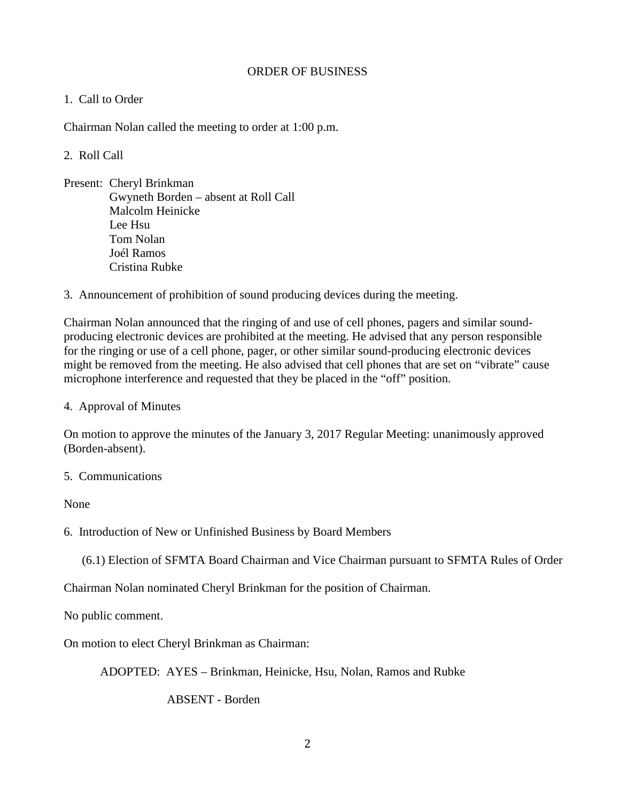## ORDER OF BUSINESS

## 1. Call to Order

Chairman Nolan called the meeting to order at 1:00 p.m.

## 2. Roll Call

- Present: Cheryl Brinkman Gwyneth Borden – absent at Roll Call Malcolm Heinicke Lee Hsu Tom Nolan Joél Ramos Cristina Rubke
- 3. Announcement of prohibition of sound producing devices during the meeting.

Chairman Nolan announced that the ringing of and use of cell phones, pagers and similar soundproducing electronic devices are prohibited at the meeting. He advised that any person responsible for the ringing or use of a cell phone, pager, or other similar sound-producing electronic devices might be removed from the meeting. He also advised that cell phones that are set on "vibrate" cause microphone interference and requested that they be placed in the "off" position.

4. Approval of Minutes

On motion to approve the minutes of the January 3, 2017 Regular Meeting: unanimously approved (Borden-absent).

#### 5. Communications

None

6. Introduction of New or Unfinished Business by Board Members

(6.1) Election of SFMTA Board Chairman and Vice Chairman pursuant to SFMTA Rules of Order

Chairman Nolan nominated Cheryl Brinkman for the position of Chairman.

No public comment.

On motion to elect Cheryl Brinkman as Chairman:

ADOPTED: AYES – Brinkman, Heinicke, Hsu, Nolan, Ramos and Rubke

ABSENT - Borden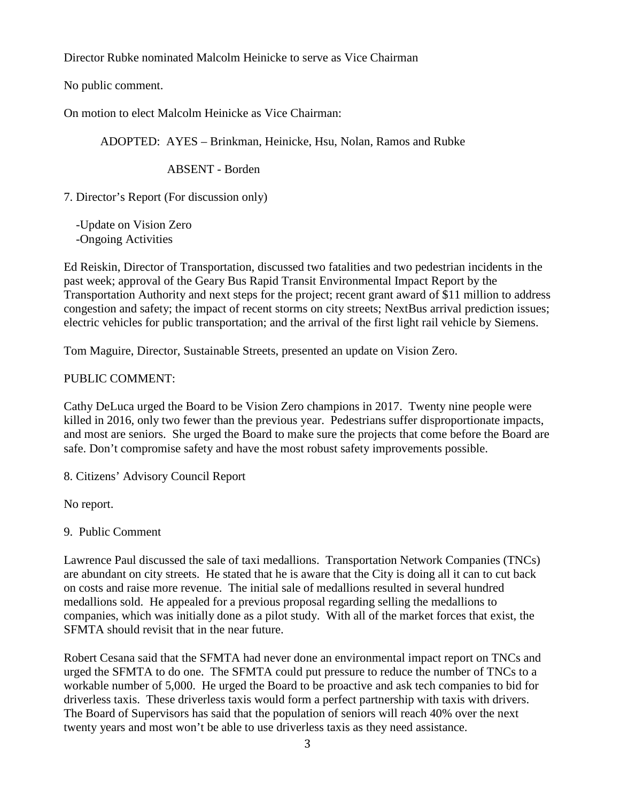Director Rubke nominated Malcolm Heinicke to serve as Vice Chairman

No public comment.

On motion to elect Malcolm Heinicke as Vice Chairman:

ADOPTED: AYES – Brinkman, Heinicke, Hsu, Nolan, Ramos and Rubke

ABSENT - Borden

7. Director's Report (For discussion only)

 -Update on Vision Zero -Ongoing Activities

Ed Reiskin, Director of Transportation, discussed two fatalities and two pedestrian incidents in the past week; approval of the Geary Bus Rapid Transit Environmental Impact Report by the Transportation Authority and next steps for the project; recent grant award of \$11 million to address congestion and safety; the impact of recent storms on city streets; NextBus arrival prediction issues; electric vehicles for public transportation; and the arrival of the first light rail vehicle by Siemens.

Tom Maguire, Director, Sustainable Streets, presented an update on Vision Zero.

## PUBLIC COMMENT:

Cathy DeLuca urged the Board to be Vision Zero champions in 2017. Twenty nine people were killed in 2016, only two fewer than the previous year. Pedestrians suffer disproportionate impacts, and most are seniors. She urged the Board to make sure the projects that come before the Board are safe. Don't compromise safety and have the most robust safety improvements possible.

8. Citizens' Advisory Council Report

No report.

9. Public Comment

Lawrence Paul discussed the sale of taxi medallions. Transportation Network Companies (TNCs) are abundant on city streets. He stated that he is aware that the City is doing all it can to cut back on costs and raise more revenue. The initial sale of medallions resulted in several hundred medallions sold. He appealed for a previous proposal regarding selling the medallions to companies, which was initially done as a pilot study. With all of the market forces that exist, the SFMTA should revisit that in the near future.

Robert Cesana said that the SFMTA had never done an environmental impact report on TNCs and urged the SFMTA to do one. The SFMTA could put pressure to reduce the number of TNCs to a workable number of 5,000. He urged the Board to be proactive and ask tech companies to bid for driverless taxis. These driverless taxis would form a perfect partnership with taxis with drivers. The Board of Supervisors has said that the population of seniors will reach 40% over the next twenty years and most won't be able to use driverless taxis as they need assistance.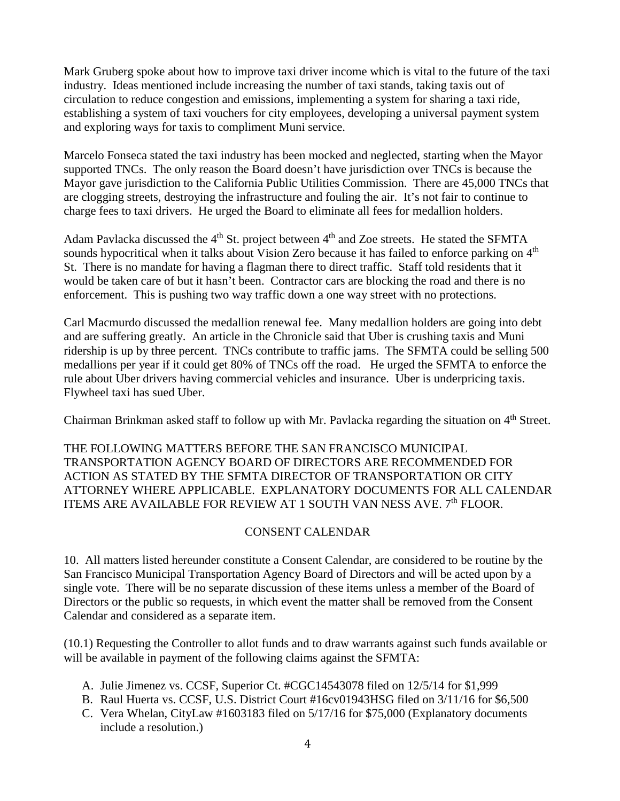Mark Gruberg spoke about how to improve taxi driver income which is vital to the future of the taxi industry. Ideas mentioned include increasing the number of taxi stands, taking taxis out of circulation to reduce congestion and emissions, implementing a system for sharing a taxi ride, establishing a system of taxi vouchers for city employees, developing a universal payment system and exploring ways for taxis to compliment Muni service.

Marcelo Fonseca stated the taxi industry has been mocked and neglected, starting when the Mayor supported TNCs. The only reason the Board doesn't have jurisdiction over TNCs is because the Mayor gave jurisdiction to the California Public Utilities Commission. There are 45,000 TNCs that are clogging streets, destroying the infrastructure and fouling the air. It's not fair to continue to charge fees to taxi drivers. He urged the Board to eliminate all fees for medallion holders.

Adam Pavlacka discussed the  $4<sup>th</sup>$  St. project between  $4<sup>th</sup>$  and Zoe streets. He stated the SFMTA sounds hypocritical when it talks about Vision Zero because it has failed to enforce parking on  $4<sup>th</sup>$ St. There is no mandate for having a flagman there to direct traffic. Staff told residents that it would be taken care of but it hasn't been. Contractor cars are blocking the road and there is no enforcement. This is pushing two way traffic down a one way street with no protections.

Carl Macmurdo discussed the medallion renewal fee. Many medallion holders are going into debt and are suffering greatly. An article in the Chronicle said that Uber is crushing taxis and Muni ridership is up by three percent. TNCs contribute to traffic jams. The SFMTA could be selling 500 medallions per year if it could get 80% of TNCs off the road. He urged the SFMTA to enforce the rule about Uber drivers having commercial vehicles and insurance. Uber is underpricing taxis. Flywheel taxi has sued Uber.

Chairman Brinkman asked staff to follow up with Mr. Pavlacka regarding the situation on 4<sup>th</sup> Street.

THE FOLLOWING MATTERS BEFORE THE SAN FRANCISCO MUNICIPAL TRANSPORTATION AGENCY BOARD OF DIRECTORS ARE RECOMMENDED FOR ACTION AS STATED BY THE SFMTA DIRECTOR OF TRANSPORTATION OR CITY ATTORNEY WHERE APPLICABLE. EXPLANATORY DOCUMENTS FOR ALL CALENDAR ITEMS ARE AVAILABLE FOR REVIEW AT 1 SOUTH VAN NESS AVE. 7<sup>th</sup> FLOOR.

# CONSENT CALENDAR

10. All matters listed hereunder constitute a Consent Calendar, are considered to be routine by the San Francisco Municipal Transportation Agency Board of Directors and will be acted upon by a single vote. There will be no separate discussion of these items unless a member of the Board of Directors or the public so requests, in which event the matter shall be removed from the Consent Calendar and considered as a separate item.

(10.1) Requesting the Controller to allot funds and to draw warrants against such funds available or will be available in payment of the following claims against the SFMTA:

- A. Julie Jimenez vs. CCSF, Superior Ct. #CGC14543078 filed on 12/5/14 for \$1,999
- B. Raul Huerta vs. CCSF, U.S. District Court #16cv01943HSG filed on 3/11/16 for \$6,500
- C. Vera Whelan, CityLaw #1603183 filed on 5/17/16 for \$75,000 (Explanatory documents include a resolution.)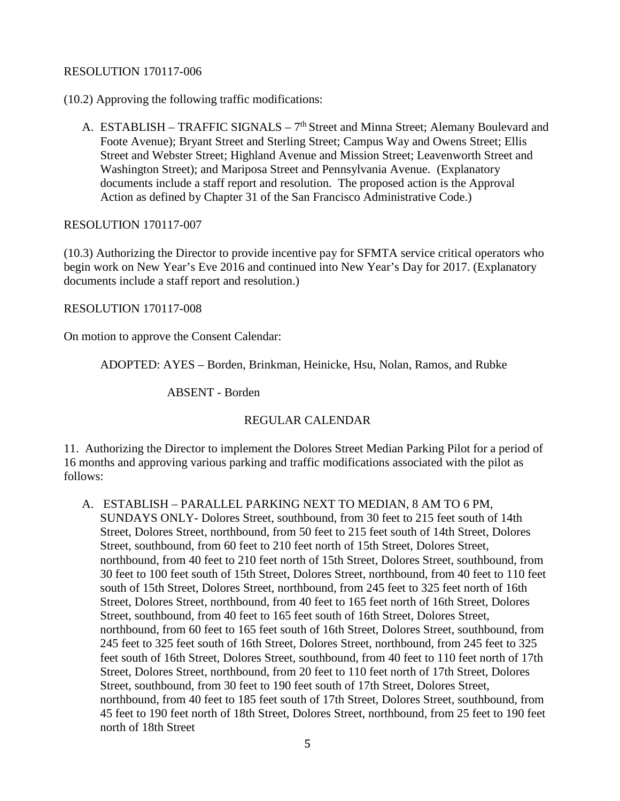## RESOLUTION 170117-006

(10.2) Approving the following traffic modifications:

A. ESTABLISH – TRAFFIC SIGNALS – 7<sup>th</sup> Street and Minna Street; Alemany Boulevard and Foote Avenue); Bryant Street and Sterling Street; Campus Way and Owens Street; Ellis Street and Webster Street; Highland Avenue and Mission Street; Leavenworth Street and Washington Street); and Mariposa Street and Pennsylvania Avenue. (Explanatory documents include a staff report and resolution. The proposed action is the Approval Action as defined by Chapter 31 of the San Francisco Administrative Code.)

## RESOLUTION 170117-007

(10.3) Authorizing the Director to provide incentive pay for SFMTA service critical operators who begin work on New Year's Eve 2016 and continued into New Year's Day for 2017. (Explanatory documents include a staff report and resolution.)

RESOLUTION 170117-008

On motion to approve the Consent Calendar:

ADOPTED: AYES – Borden, Brinkman, Heinicke, Hsu, Nolan, Ramos, and Rubke

ABSENT - Borden

## REGULAR CALENDAR

11. Authorizing the Director to implement the Dolores Street Median Parking Pilot for a period of 16 months and approving various parking and traffic modifications associated with the pilot as follows:

A. ESTABLISH – PARALLEL PARKING NEXT TO MEDIAN, 8 AM TO 6 PM, SUNDAYS ONLY- Dolores Street, southbound, from 30 feet to 215 feet south of 14th Street, Dolores Street, northbound, from 50 feet to 215 feet south of 14th Street, Dolores Street, southbound, from 60 feet to 210 feet north of 15th Street, Dolores Street, northbound, from 40 feet to 210 feet north of 15th Street, Dolores Street, southbound, from 30 feet to 100 feet south of 15th Street, Dolores Street, northbound, from 40 feet to 110 feet south of 15th Street, Dolores Street, northbound, from 245 feet to 325 feet north of 16th Street, Dolores Street, northbound, from 40 feet to 165 feet north of 16th Street, Dolores Street, southbound, from 40 feet to 165 feet south of 16th Street, Dolores Street, northbound, from 60 feet to 165 feet south of 16th Street, Dolores Street, southbound, from 245 feet to 325 feet south of 16th Street, Dolores Street, northbound, from 245 feet to 325 feet south of 16th Street, Dolores Street, southbound, from 40 feet to 110 feet north of 17th Street, Dolores Street, northbound, from 20 feet to 110 feet north of 17th Street, Dolores Street, southbound, from 30 feet to 190 feet south of 17th Street, Dolores Street, northbound, from 40 feet to 185 feet south of 17th Street, Dolores Street, southbound, from 45 feet to 190 feet north of 18th Street, Dolores Street, northbound, from 25 feet to 190 feet north of 18th Street